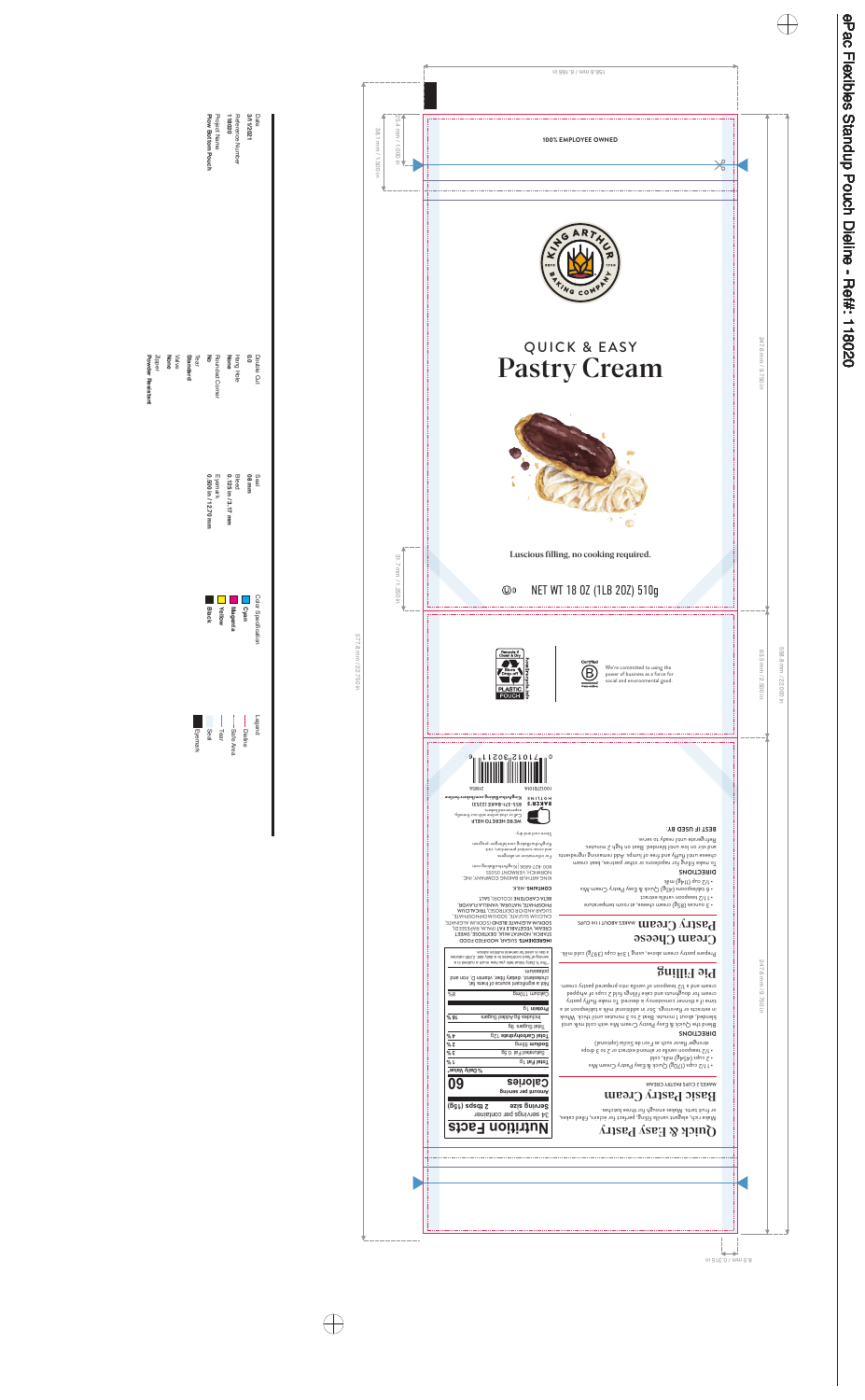